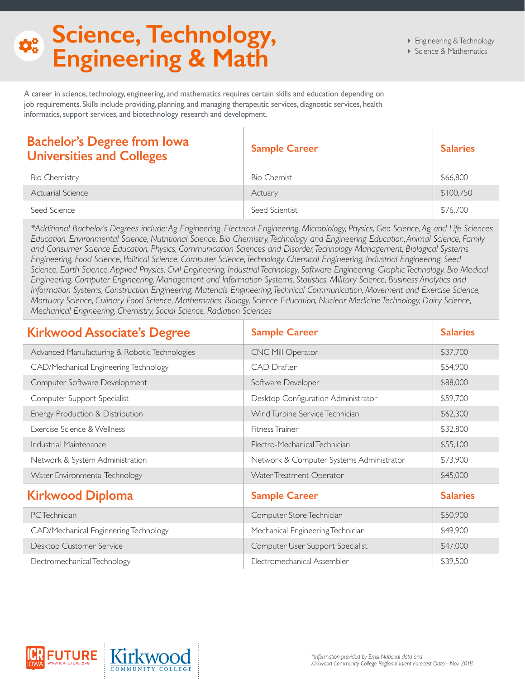## **Science, Technology,**   $\Phi_{\alpha}^{\alpha}$ **Engineering & Math**

A career in science, technology, engineering, and mathematics requires certain skills and education depending on job requirements. Skills include providing, planning, and managing therapeutic services, diagnostic services, health informatics, support services, and biotechnology research and development.

| <b>Bachelor's Degree from lowa</b><br><b>Universities and Colleges</b> | <b>Sample Career</b> | <b>Salaries</b> |
|------------------------------------------------------------------------|----------------------|-----------------|
| Bio Chemistry                                                          | <b>Bio Chemist</b>   | \$66,800        |
| Actuarial Science                                                      | Actuary              | \$100,750       |
| Seed Science                                                           | Seed Scientist       | \$76,700        |

*\*Additional Bachelor's Degrees include: Ag Engineering, Electrical Engineering, Microbiology, Physics, Geo Science, Ag and Life Sciences Education, Environmental Science, Nutritional Science, Bio Chemistry, Technology and Engineering Education, Animal Science, Family and Consumer Science Education, Physics, Communication Sciences and Disorder, Technology Management, Biological Systems Engineering, Food Science, Political Science, Computer Science, Technology, Chemical Engineering, Industrial Engineering, Seed Science, Earth Science, Applied Physics, Civil Engineering, Industrial Technology, Software Engineering, Graphic Technology, Bio Medical Engineering, Computer Engineering, Management and Information Systems, Statistics, Military Science, Business Analytics and Information Systems, Construction Engineering, Materials Engineering, Technical Communication, Movement and Exercise Science, Mortuary Science, Culinary Food Science, Mathematics, Biology, Science Education, Nuclear Medicine Technology, Dairy Science, Mechanical Engineering, Chemistry, Social Science, Radiation Sciences*

| <b>Kirkwood Associate's Degree</b>            | <b>Sample Career</b>                     | <b>Salaries</b> |
|-----------------------------------------------|------------------------------------------|-----------------|
| Advanced Manufacturing & Robotic Technologies | <b>CNC Mill Operator</b>                 | \$37,700        |
| CAD/Mechanical Engineering Technology         | <b>CAD Drafter</b>                       | \$54,900        |
| Computer Software Development                 | Software Developer                       | \$88,000        |
| Computer Support Specialist                   | Desktop Configuration Administrator      | \$59,700        |
| Energy Production & Distribution              | Wind Turbine Service Technician          | \$62,300        |
| Exercise Science & Wellness                   | Fitness Trainer                          | \$32,800        |
| Industrial Maintenance                        | Electro-Mechanical Technician            | \$55,100        |
| Network & System Administration               | Network & Computer Systems Administrator | \$73,900        |
| Water Environmental Technology                | Water Treatment Operator                 | \$45,000        |
| <b>Kirkwood Diploma</b>                       | <b>Sample Career</b>                     | <b>Salaries</b> |
| PC Technician                                 | Computer Store Technician                | \$50,900        |
| CAD/Mechanical Engineering Technology         | Mechanical Engineering Technician        | \$49,900        |
| Desktop Customer Service                      | Computer User Support Specialist         | \$47,000        |
| Electromechanical Technology                  | Electromechanical Assembler              | \$39,500        |